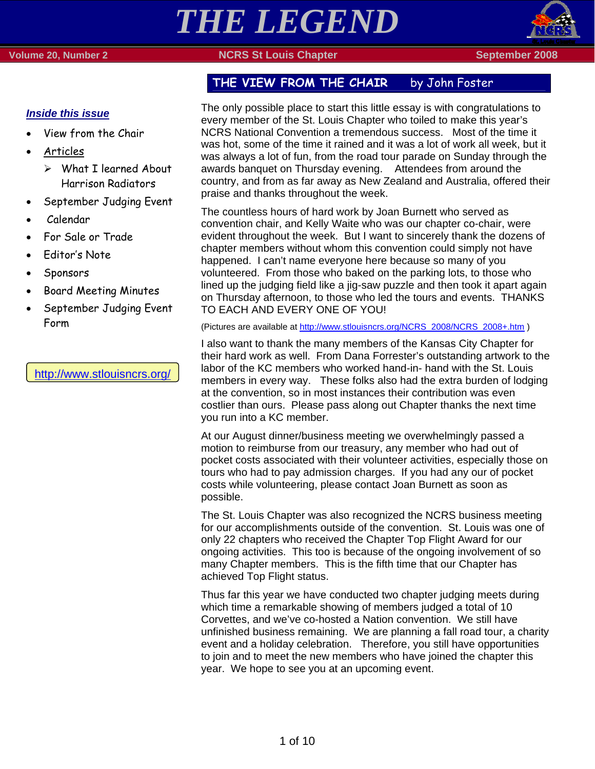# *THE LEGEND*

### **Volume 20, Number 2 NORS St Louis Chapter September 2008 September 2008**



### *Inside this issue*

- View from the Chair
- Articles
	- $\triangleright$  What I learned About Harrison Radiators
- September Judging Event
- Calendar
- For Sale or Trade
- Editor's Note
- Sponsors
- Board Meeting Minutes
- September Judging Event Form

### http://www.stlouisncrs.org/

## THE VIEW FROM THE CHAIR by John Foster

The only possible place to start this little essay is with congratulations to every member of the St. Louis Chapter who toiled to make this year's NCRS National Convention a tremendous success. Most of the time it was hot, some of the time it rained and it was a lot of work all week, but it was always a lot of fun, from the road tour parade on Sunday through the awards banquet on Thursday evening. Attendees from around the country, and from as far away as New Zealand and Australia, offered their praise and thanks throughout the week.

The countless hours of hard work by Joan Burnett who served as convention chair, and Kelly Waite who was our chapter co-chair, were evident throughout the week. But I want to sincerely thank the dozens of chapter members without whom this convention could simply not have happened. I can't name everyone here because so many of you volunteered. From those who baked on the parking lots, to those who lined up the judging field like a jig-saw puzzle and then took it apart again on Thursday afternoon, to those who led the tours and events. THANKS TO EACH AND EVERY ONE OF YOU!

(Pictures are available at http://www.stlouisncrs.org/NCRS\_2008/NCRS\_2008+.htm )

I also want to thank the many members of the Kansas City Chapter for their hard work as well. From Dana Forrester's outstanding artwork to the labor of the KC members who worked hand-in- hand with the St. Louis members in every way. These folks also had the extra burden of lodging at the convention, so in most instances their contribution was even costlier than ours. Please pass along out Chapter thanks the next time you run into a KC member.

At our August dinner/business meeting we overwhelmingly passed a motion to reimburse from our treasury, any member who had out of pocket costs associated with their volunteer activities, especially those on tours who had to pay admission charges. If you had any our of pocket costs while volunteering, please contact Joan Burnett as soon as possible.

The St. Louis Chapter was also recognized the NCRS business meeting for our accomplishments outside of the convention. St. Louis was one of only 22 chapters who received the Chapter Top Flight Award for our ongoing activities. This too is because of the ongoing involvement of so many Chapter members. This is the fifth time that our Chapter has achieved Top Flight status.

Thus far this year we have conducted two chapter judging meets during which time a remarkable showing of members judged a total of 10 Corvettes, and we've co-hosted a Nation convention. We still have unfinished business remaining. We are planning a fall road tour, a charity event and a holiday celebration. Therefore, you still have opportunities to join and to meet the new members who have joined the chapter this year. We hope to see you at an upcoming event.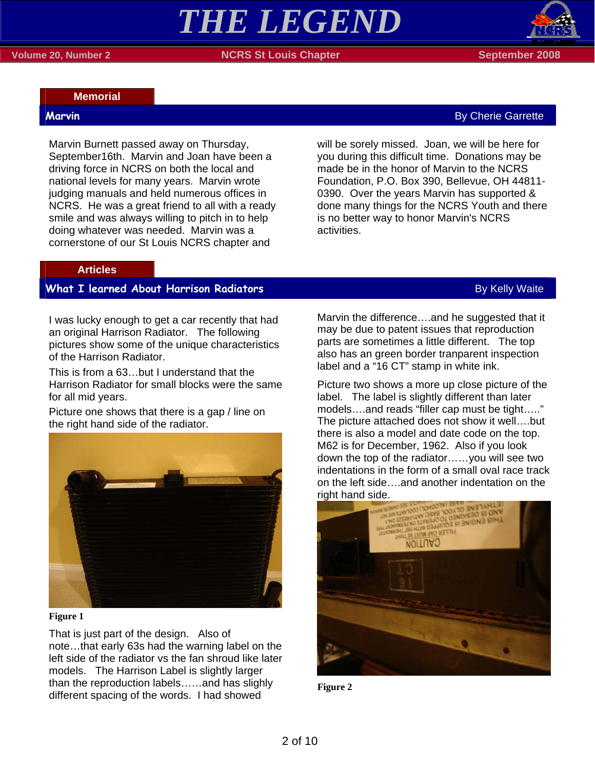### **Memorial**

Marvin Burnett passed away on Thursday, September16th. Marvin and Joan have been a driving force in NCRS on both the local and national levels for many years. Marvin wrote judging manuals and held numerous offices in NCRS. He was a great friend to all with a ready smile and was always willing to pitch in to help doing whatever was needed. Marvin was a cornerstone of our St Louis NCRS chapter and

will be sorely missed. Joan, we will be here for you during this difficult time. Donations may be made be in the honor of Marvin to the NCRS Foundation, P.O. Box 390, Bellevue, OH 44811- 0390. Over the years Marvin has supported & done many things for the NCRS Youth and there is no better way to honor Marvin's NCRS activities.

### **Articles**

### **What I learned About Harrison Radiators** By Kelly Waite By Kelly Waite

I was lucky enough to get a car recently that had an original Harrison Radiator. The following pictures show some of the unique characteristics of the Harrison Radiator.

This is from a 63…but I understand that the Harrison Radiator for small blocks were the same for all mid years.

Picture one shows that there is a gap / line on the right hand side of the radiator.



### **Figure 1**

That is just part of the design. Also of note…that early 63s had the warning label on the left side of the radiator vs the fan shroud like later models. The Harrison Label is slightly larger than the reproduction labels……and has slighly different spacing of the words. I had showed

Marvin the difference….and he suggested that it may be due to patent issues that reproduction parts are sometimes a little different. The top also has an green border tranparent inspection label and a "16 CT" stamp in white ink.

Picture two shows a more up close picture of the label. The label is slightly different than later models….and reads "filler cap must be tight….." The picture attached does not show it well….but there is also a model and date code on the top. M62 is for December, 1962. Also if you look down the top of the radiator……you will see two indentations in the form of a small oval race track on the left side….and another indentation on the right hand side.



**Figure 2**

### **Marvin** By Cherie Garrette **By Cherie Garrette** By Cherie Garrette By Cherie Garrette By Cherie Garrette By Cherie Garrette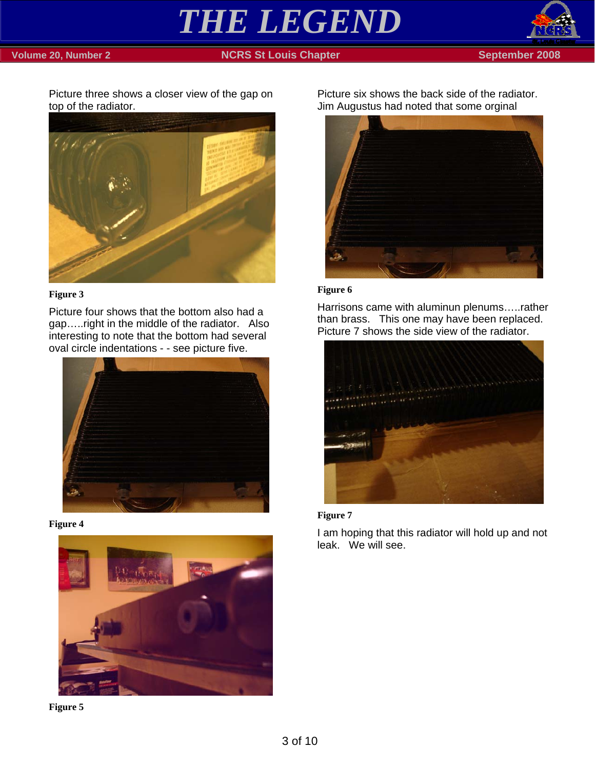

### **Volume 20, Number 2** NGRS St Louis Chapter September 2008



Picture three shows a closer view of the gap on top of the radiator.



### **Figure 3**

Picture four shows that the bottom also had a gap…..right in the middle of the radiator. Also interesting to note that the bottom had several oval circle indentations - - see picture five.



**Figure 4** 





Picture six shows the back side of the radiator. Jim Augustus had noted that some orginal



### **Figure 6**

Harrisons came with aluminun plenums…..rather than brass. This one may have been replaced. Picture 7 shows the side view of the radiator.





I am hoping that this radiator will hold up and not leak. We will see.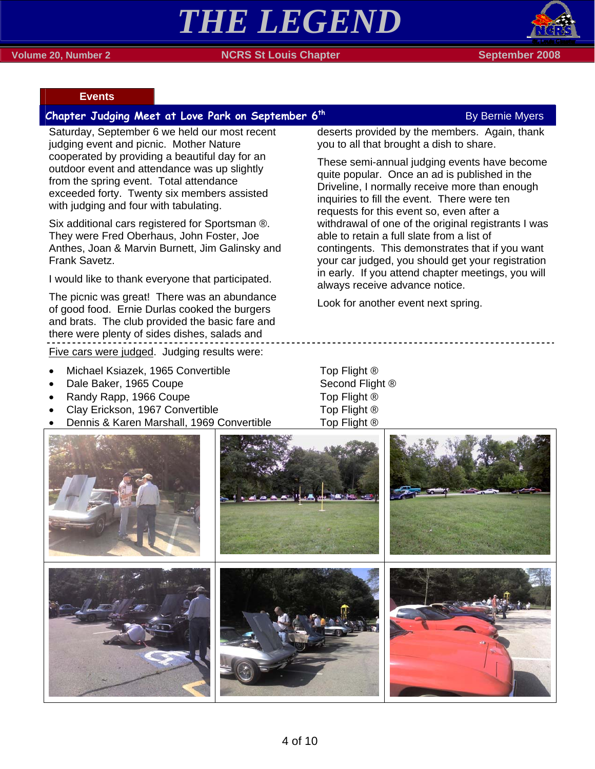# *THE LEGEND*



### **Events**

### **Chapter Judging Meet at Love Park on September 6<sup>th</sup> By Bernie Myers**

Saturday, September 6 we held our most recent judging event and picnic. Mother Nature cooperated by providing a beautiful day for an outdoor event and attendance was up slightly from the spring event. Total attendance exceeded forty. Twenty six members assisted with judging and four with tabulating.

Six additional cars registered for Sportsman ®. They were Fred Oberhaus, John Foster, Joe Anthes, Joan & Marvin Burnett, Jim Galinsky and Frank Savetz.

I would like to thank everyone that participated.

The picnic was great! There was an abundance of good food. Ernie Durlas cooked the burgers and brats. The club provided the basic fare and there were plenty of sides dishes, salads and Five cars were judged. Judging results were:

- Michael Ksiazek, 1965 Convertible Top Flight ®
- **Dale Baker, 1965 Coupe Second Flight ®**
- **Frandy Rapp, 1966 Coupe Top Flight ®**
- Clay Erickson, 1967 Convertible Top Flight ®
- Dennis & Karen Marshall, 1969 Convertible Top Flight ®

deserts provided by the members. Again, thank you to all that brought a dish to share.

These semi-annual judging events have become quite popular. Once an ad is published in the Driveline, I normally receive more than enough inquiries to fill the event. There were ten requests for this event so, even after a withdrawal of one of the original registrants I was able to retain a full slate from a list of contingents. This demonstrates that if you want your car judged, you should get your registration in early. If you attend chapter meetings, you will always receive advance notice.

Look for another event next spring.

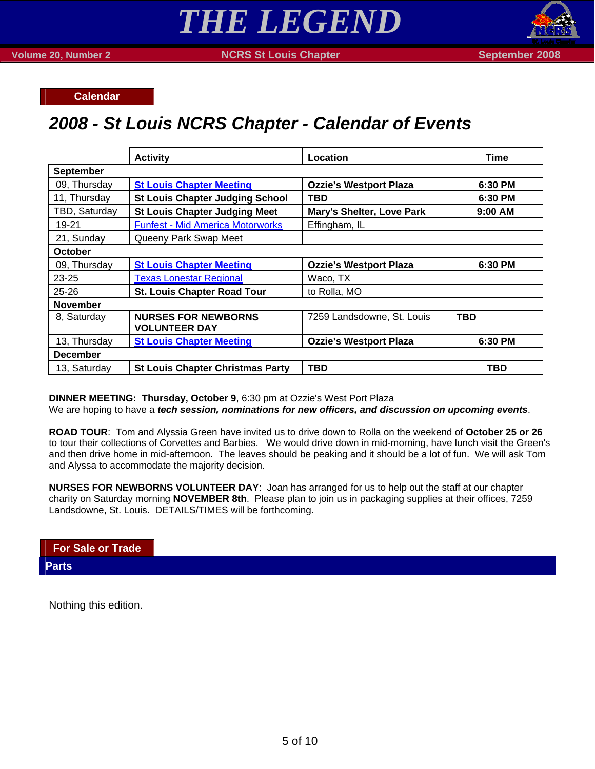**Calendar** 

## *2008 - St Louis NCRS Chapter - Calendar of Events*

|                  | <b>Activity</b>                                    | Location                         | Time       |  |  |  |
|------------------|----------------------------------------------------|----------------------------------|------------|--|--|--|
| <b>September</b> |                                                    |                                  |            |  |  |  |
| 09, Thursday     | <b>St Louis Chapter Meeting</b>                    | <b>Ozzie's Westport Plaza</b>    | 6:30 PM    |  |  |  |
| 11, Thursday     | <b>St Louis Chapter Judging School</b>             | <b>TBD</b>                       | 6:30 PM    |  |  |  |
| TBD, Saturday    | <b>St Louis Chapter Judging Meet</b>               | <b>Mary's Shelter, Love Park</b> | 9:00 AM    |  |  |  |
| 19-21            | <b>Funfest - Mid America Motorworks</b>            | Effingham, IL                    |            |  |  |  |
| 21, Sunday       | Queeny Park Swap Meet                              |                                  |            |  |  |  |
| <b>October</b>   |                                                    |                                  |            |  |  |  |
| 09, Thursday     | <b>St Louis Chapter Meeting</b>                    | <b>Ozzie's Westport Plaza</b>    | 6:30 PM    |  |  |  |
| 23-25            | <b>Texas Lonestar Regional</b>                     | Waco, TX                         |            |  |  |  |
| $25 - 26$        | <b>St. Louis Chapter Road Tour</b>                 | to Rolla, MO                     |            |  |  |  |
| <b>November</b>  |                                                    |                                  |            |  |  |  |
| 8, Saturday      | <b>NURSES FOR NEWBORNS</b><br><b>VOLUNTEER DAY</b> | 7259 Landsdowne, St. Louis       | <b>TBD</b> |  |  |  |
| 13, Thursday     | <b>St Louis Chapter Meeting</b>                    | <b>Ozzie's Westport Plaza</b>    | 6:30 PM    |  |  |  |
| <b>December</b>  |                                                    |                                  |            |  |  |  |
| 13, Saturday     | <b>St Louis Chapter Christmas Party</b>            | <b>TBD</b>                       | TBD        |  |  |  |

**DINNER MEETING: Thursday, October 9**, 6:30 pm at Ozzie's West Port Plaza

We are hoping to have a *tech session, nominations for new officers, and discussion on upcoming events*.

**ROAD TOUR**: Tom and Alyssia Green have invited us to drive down to Rolla on the weekend of **October 25 or 26** to tour their collections of Corvettes and Barbies. We would drive down in mid-morning, have lunch visit the Green's and then drive home in mid-afternoon. The leaves should be peaking and it should be a lot of fun. We will ask Tom and Alyssa to accommodate the majority decision.

**NURSES FOR NEWBORNS VOLUNTEER DAY**: Joan has arranged for us to help out the staff at our chapter charity on Saturday morning **NOVEMBER 8th**. Please plan to join us in packaging supplies at their offices, 7259 Landsdowne, St. Louis. DETAILS/TIMES will be forthcoming.

**For Sale or Trade Parts** 

Nothing this edition.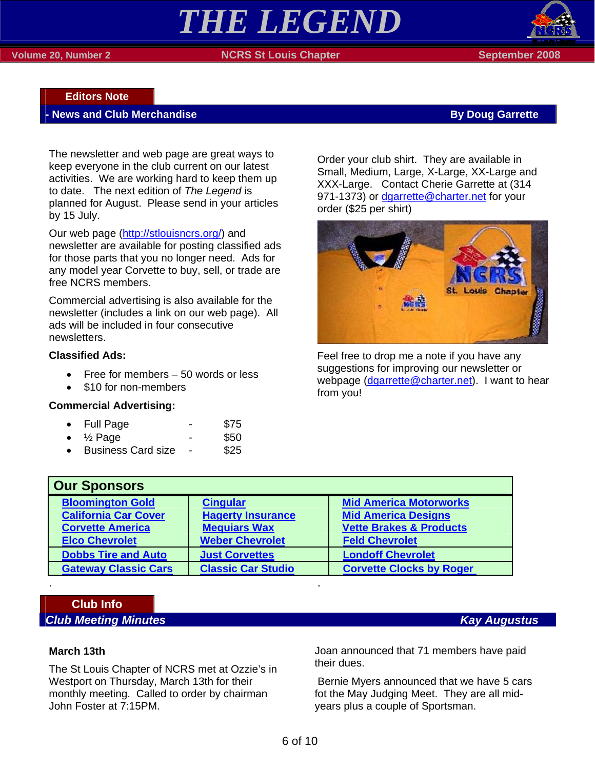### **Volume 20, Number 2 NORS St Louis Chapter September 2008 September 2008**



### **Editors Note**

### **News and Club Merchandise By Doug Garrette By Doug Garrette**

The newsletter and web page are great ways to keep everyone in the club current on our latest activities. We are working hard to keep them up to date. The next edition of *The Legend* is planned for August. Please send in your articles by 15 July.

Our web page (http://stlouisncrs.org/) and newsletter are available for posting classified ads for those parts that you no longer need. Ads for any model year Corvette to buy, sell, or trade are free NCRS members.

Commercial advertising is also available for the newsletter (includes a link on our web page). All ads will be included in four consecutive newsletters.

### **Classified Ads:**

- Free for members 50 words or less
- \$10 for non-members

### **Commercial Advertising:**

|  | <b>Full Page</b> |  | \$75 |
|--|------------------|--|------|
|--|------------------|--|------|

- $\frac{1}{2}$  Page \$50
- Business Card size \$25

Order your club shirt. They are available in Small, Medium, Large, X-Large, XX-Large and XXX-Large. Contact Cherie Garrette at (314 971-1373) or dgarrette@charter.net for your order (\$25 per shirt)



Feel free to drop me a note if you have any suggestions for improving our newsletter or webpage (dgarrette@charter.net). I want to hear from you!

| <b>Our Sponsors</b>         |                           |                                    |  |  |  |
|-----------------------------|---------------------------|------------------------------------|--|--|--|
| <b>Bloomington Gold</b>     | <b>Cingular</b>           | <b>Mid America Motorworks</b>      |  |  |  |
| <b>California Car Cover</b> | <b>Hagerty Insurance</b>  | <b>Mid America Designs</b>         |  |  |  |
| <b>Corvette America</b>     | <b>Mequiars Wax</b>       | <b>Vette Brakes &amp; Products</b> |  |  |  |
| <b>Elco Chevrolet</b>       | <b>Weber Chevrolet</b>    | <b>Feld Chevrolet</b>              |  |  |  |
| <b>Dobbs Tire and Auto</b>  | <b>Just Corvettes</b>     | <b>Londoff Chevrolet</b>           |  |  |  |
| <b>Gateway Classic Cars</b> | <b>Classic Car Studio</b> | <b>Corvette Clocks by Roger</b>    |  |  |  |

## **Club Info**

### **March 13th**

The St Louis Chapter of NCRS met at Ozzie's in Westport on Thursday, March 13th for their monthly meeting. Called to order by chairman John Foster at 7:15PM.

. .

Joan announced that 71 members have paid their dues.

 Bernie Myers announced that we have 5 cars fot the May Judging Meet. They are all midyears plus a couple of Sportsman.

### *Club Meeting Minutes* Kay Augustus *Club Meeting Minutes*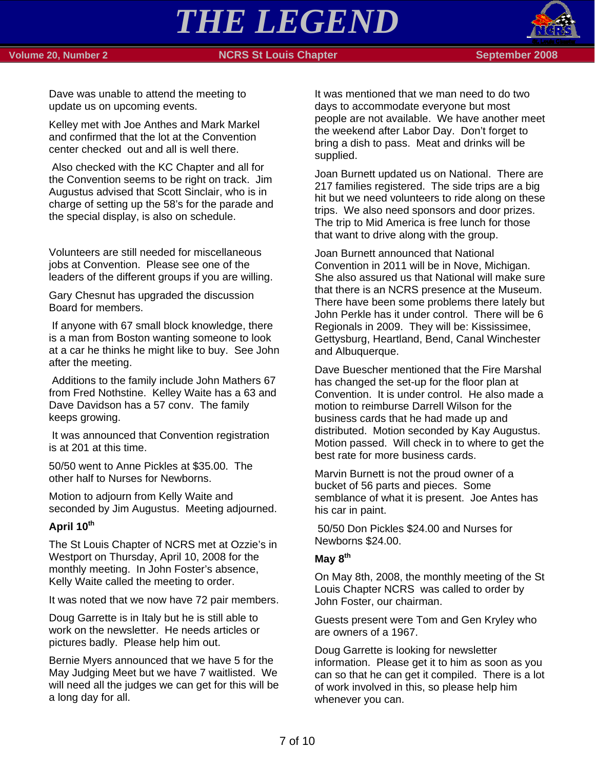### **Volume 20, Number 2 NORS St Louis Chapter September 2008 September 2008**



Dave was unable to attend the meeting to update us on upcoming events.

Kelley met with Joe Anthes and Mark Markel and confirmed that the lot at the Convention center checked out and all is well there.

 Also checked with the KC Chapter and all for the Convention seems to be right on track. Jim Augustus advised that Scott Sinclair, who is in charge of setting up the 58's for the parade and the special display, is also on schedule.

Volunteers are still needed for miscellaneous jobs at Convention. Please see one of the leaders of the different groups if you are willing.

Gary Chesnut has upgraded the discussion Board for members.

 If anyone with 67 small block knowledge, there is a man from Boston wanting someone to look at a car he thinks he might like to buy. See John after the meeting.

 Additions to the family include John Mathers 67 from Fred Nothstine. Kelley Waite has a 63 and Dave Davidson has a 57 conv. The family keeps growing.

 It was announced that Convention registration is at 201 at this time.

50/50 went to Anne Pickles at \$35.00. The other half to Nurses for Newborns.

Motion to adjourn from Kelly Waite and seconded by Jim Augustus. Meeting adjourned.

### **April 10th**

The St Louis Chapter of NCRS met at Ozzie's in Westport on Thursday, April 10, 2008 for the monthly meeting. In John Foster's absence, Kelly Waite called the meeting to order.

It was noted that we now have 72 pair members.

Doug Garrette is in Italy but he is still able to work on the newsletter. He needs articles or pictures badly. Please help him out.

Bernie Myers announced that we have 5 for the May Judging Meet but we have 7 waitlisted. We will need all the judges we can get for this will be a long day for all.

It was mentioned that we man need to do two days to accommodate everyone but most people are not available. We have another meet the weekend after Labor Day. Don't forget to bring a dish to pass. Meat and drinks will be supplied.

Joan Burnett updated us on National. There are 217 families registered. The side trips are a big hit but we need volunteers to ride along on these trips. We also need sponsors and door prizes. The trip to Mid America is free lunch for those that want to drive along with the group.

Joan Burnett announced that National Convention in 2011 will be in Nove, Michigan. She also assured us that National will make sure that there is an NCRS presence at the Museum. There have been some problems there lately but John Perkle has it under control. There will be 6 Regionals in 2009. They will be: Kississimee, Gettysburg, Heartland, Bend, Canal Winchester and Albuquerque.

Dave Buescher mentioned that the Fire Marshal has changed the set-up for the floor plan at Convention. It is under control. He also made a motion to reimburse Darrell Wilson for the business cards that he had made up and distributed. Motion seconded by Kay Augustus. Motion passed. Will check in to where to get the best rate for more business cards.

Marvin Burnett is not the proud owner of a bucket of 56 parts and pieces. Some semblance of what it is present. Joe Antes has his car in paint.

 50/50 Don Pickles \$24.00 and Nurses for Newborns \$24.00.

### **May 8th**

On May 8th, 2008, the monthly meeting of the St Louis Chapter NCRS was called to order by John Foster, our chairman.

Guests present were Tom and Gen Kryley who are owners of a 1967.

Doug Garrette is looking for newsletter information. Please get it to him as soon as you can so that he can get it compiled. There is a lot of work involved in this, so please help him whenever you can.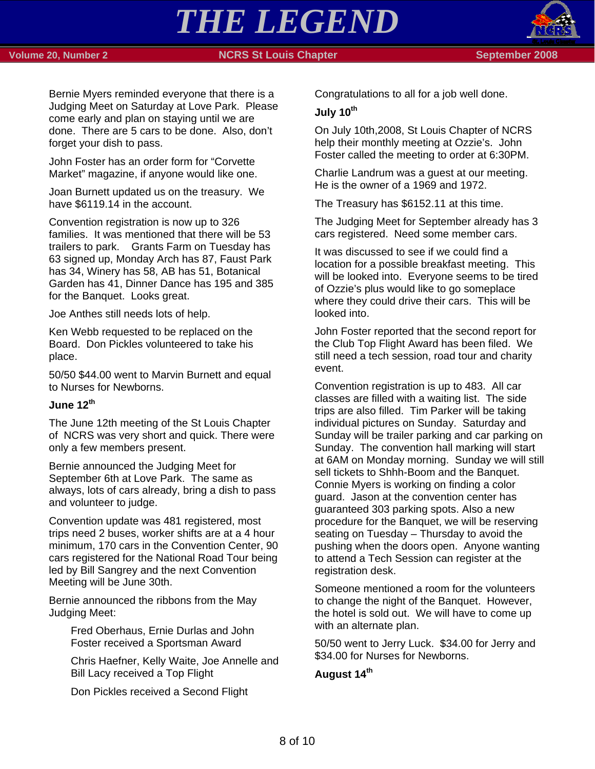### **Volume 20, Number 2 NCRS St Louis Chapter September 2008 September 2008**

*THE LEGEND* 



Bernie Myers reminded everyone that there is a Judging Meet on Saturday at Love Park. Please come early and plan on staying until we are done. There are 5 cars to be done. Also, don't forget your dish to pass.

John Foster has an order form for "Corvette Market" magazine, if anyone would like one.

Joan Burnett updated us on the treasury. We have \$6119.14 in the account.

Convention registration is now up to 326 families. It was mentioned that there will be 53 trailers to park. Grants Farm on Tuesday has 63 signed up, Monday Arch has 87, Faust Park has 34, Winery has 58, AB has 51, Botanical Garden has 41, Dinner Dance has 195 and 385 for the Banquet. Looks great.

Joe Anthes still needs lots of help.

Ken Webb requested to be replaced on the Board. Don Pickles volunteered to take his place.

50/50 \$44.00 went to Marvin Burnett and equal to Nurses for Newborns.

### **June 12th**

The June 12th meeting of the St Louis Chapter of NCRS was very short and quick. There were only a few members present.

Bernie announced the Judging Meet for September 6th at Love Park. The same as always, lots of cars already, bring a dish to pass and volunteer to judge.

Convention update was 481 registered, most trips need 2 buses, worker shifts are at a 4 hour minimum, 170 cars in the Convention Center, 90 cars registered for the National Road Tour being led by Bill Sangrey and the next Convention Meeting will be June 30th.

Bernie announced the ribbons from the May Judging Meet:

> Fred Oberhaus, Ernie Durlas and John Foster received a Sportsman Award

Chris Haefner, Kelly Waite, Joe Annelle and Bill Lacy received a Top Flight

Don Pickles received a Second Flight

Congratulations to all for a job well done.

### **July 10th**

On July 10th,2008, St Louis Chapter of NCRS help their monthly meeting at Ozzie's. John Foster called the meeting to order at 6:30PM.

Charlie Landrum was a guest at our meeting. He is the owner of a 1969 and 1972.

The Treasury has \$6152.11 at this time.

The Judging Meet for September already has 3 cars registered. Need some member cars.

It was discussed to see if we could find a location for a possible breakfast meeting. This will be looked into. Everyone seems to be tired of Ozzie's plus would like to go someplace where they could drive their cars. This will be looked into.

John Foster reported that the second report for the Club Top Flight Award has been filed. We still need a tech session, road tour and charity event.

Convention registration is up to 483. All car classes are filled with a waiting list. The side trips are also filled. Tim Parker will be taking individual pictures on Sunday. Saturday and Sunday will be trailer parking and car parking on Sunday. The convention hall marking will start at 6AM on Monday morning. Sunday we will still sell tickets to Shhh-Boom and the Banquet. Connie Myers is working on finding a color guard. Jason at the convention center has guaranteed 303 parking spots. Also a new procedure for the Banquet, we will be reserving seating on Tuesday – Thursday to avoid the pushing when the doors open. Anyone wanting to attend a Tech Session can register at the registration desk.

Someone mentioned a room for the volunteers to change the night of the Banquet. However, the hotel is sold out. We will have to come up with an alternate plan.

50/50 went to Jerry Luck. \$34.00 for Jerry and \$34.00 for Nurses for Newborns.

### **August 14th**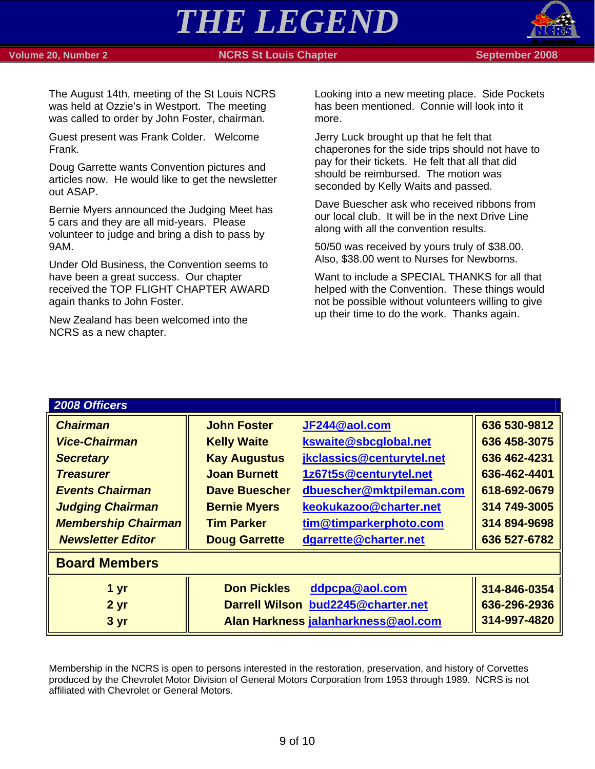### **Volume 20, Number 2 NCRS St Louis Chapter September 2008 September 2008**

*THE LEGEND* 



The August 14th, meeting of the St Louis NCRS was held at Ozzie's in Westport. The meeting was called to order by John Foster, chairman.

Guest present was Frank Colder. Welcome Frank.

Doug Garrette wants Convention pictures and articles now. He would like to get the newsletter out ASAP.

Bernie Myers announced the Judging Meet has 5 cars and they are all mid-years. Please volunteer to judge and bring a dish to pass by 9AM.

Under Old Business, the Convention seems to have been a great success. Our chapter received the TOP FLIGHT CHAPTER AWARD again thanks to John Foster.

New Zealand has been welcomed into the NCRS as a new chapter.

Looking into a new meeting place. Side Pockets has been mentioned. Connie will look into it more.

Jerry Luck brought up that he felt that chaperones for the side trips should not have to pay for their tickets. He felt that all that did should be reimbursed. The motion was seconded by Kelly Waits and passed.

Dave Buescher ask who received ribbons from our local club. It will be in the next Drive Line along with all the convention results.

50/50 was received by yours truly of \$38.00. Also, \$38.00 went to Nurses for Newborns.

Want to include a SPECIAL THANKS for all that helped with the Convention. These things would not be possible without volunteers willing to give up their time to do the work. Thanks again.

| 2008 Officers              |                      |                                     |              |  |  |  |
|----------------------------|----------------------|-------------------------------------|--------------|--|--|--|
| <b>Chairman</b>            | <b>John Foster</b>   | JF244@aol.com                       | 636 530-9812 |  |  |  |
| <b>Vice-Chairman</b>       | <b>Kelly Waite</b>   | kswaite@sbcglobal.net               | 636 458-3075 |  |  |  |
| <b>Secretary</b>           | <b>Kay Augustus</b>  | jkclassics@centurytel.net           | 636 462-4231 |  |  |  |
| <b>Treasurer</b>           | <b>Joan Burnett</b>  | 1z67t5s@centurytel.net              | 636-462-4401 |  |  |  |
| <b>Events Chairman</b>     | <b>Dave Buescher</b> | dbuescher@mktpileman.com            | 618-692-0679 |  |  |  |
| <b>Judging Chairman</b>    | <b>Bernie Myers</b>  | keokukazoo@charter.net              | 314 749-3005 |  |  |  |
| <b>Membership Chairman</b> | <b>Tim Parker</b>    | tim@timparkerphoto.com              | 314 894-9698 |  |  |  |
| <b>Newsletter Editor</b>   | <b>Doug Garrette</b> | dgarrette@charter.net               | 636 527-6782 |  |  |  |
| <b>Board Members</b>       |                      |                                     |              |  |  |  |
| 1 <sub>yr</sub>            | <b>Don Pickles</b>   | ddpcpa@aol.com                      | 314-846-0354 |  |  |  |
| 2 <sub>yr</sub>            |                      | Darrell Wilson bud2245@charter.net  | 636-296-2936 |  |  |  |
| 3 yr                       |                      | Alan Harkness jalanharkness@aol.com | 314-997-4820 |  |  |  |

Membership in the NCRS is open to persons interested in the restoration, preservation, and history of Corvettes produced by the Chevrolet Motor Division of General Motors Corporation from 1953 through 1989. NCRS is not affiliated with Chevrolet or General Motors.